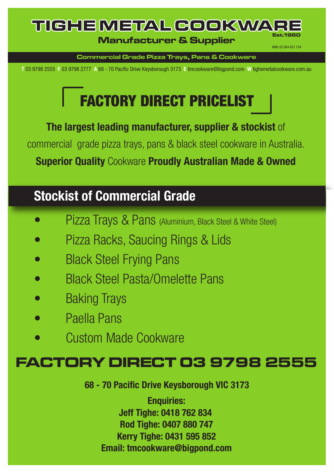### TICHE METAL COOKWA **Est.1960 Manufacturer & Supplier**

**Commercial Grade Pizza Trays, Pans & Cookware**

ABN: 62 004 631 154

**T** 03 9798 2555 **F** 03 9798 2777 **A** 68 - 70 Pacific Drive Keysborough 3173 **E** tmcookware@bigpond.com **W** tighemetalcookware.com.au

# FACTORY DIRECT PRICELIST

**The largest leading manufacturer, supplier & stockist** of commercialgrade pizza trays, pans & black steel cookware in Australia. **Superior Quality** Cookware **Proudly Australian Made & Owned**

## **Stockist of Commercial Grade**

- Pizza Trays & Pans (Aluminium, Black Steel & White Steel)
- Pizza Racks, Saucing Rings & Lids
- Black Steel Frying Pans
- Black Steel Pasta/Omelette Pans
- Baking Trays
- Paella Pans
- Custom Made Cookware

### **FACTORY DIRECT 03 9798 2555**

**68 - 70 Pacific Drive Keysborough VIC 3173**

**Enquiries: Jeff Tighe: 0418 762 834 Rod Tighe: 0407 880 747 Kerry Tighe: 0431 595 852 Email: tmcookware@bigpond.com**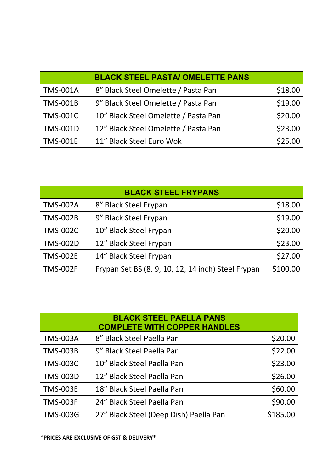|                 | <b>BLACK STEEL PASTA/ OMELETTE PANS</b> |         |
|-----------------|-----------------------------------------|---------|
| <b>TMS-001A</b> | 8" Black Steel Omelette / Pasta Pan     | \$18.00 |
| <b>TMS-001B</b> | 9" Black Steel Omelette / Pasta Pan     | \$19.00 |
| <b>TMS-001C</b> | 10" Black Steel Omelette / Pasta Pan    | \$20.00 |
| <b>TMS-001D</b> | 12" Black Steel Omelette / Pasta Pan    | \$23.00 |
| <b>TMS-001E</b> | 11" Black Steel Euro Wok                | \$25.00 |

| <b>BLACK STEEL FRYPANS</b> |                                                    |          |  |
|----------------------------|----------------------------------------------------|----------|--|
| <b>TMS-002A</b>            | 8" Black Steel Frypan                              | \$18.00  |  |
| <b>TMS-002B</b>            | 9" Black Steel Frypan                              | \$19.00  |  |
| <b>TMS-002C</b>            | 10" Black Steel Frypan                             | \$20.00  |  |
| <b>TMS-002D</b>            | 12" Black Steel Frypan                             | \$23.00  |  |
| <b>TMS-002E</b>            | 14" Black Steel Frypan                             | \$27.00  |  |
| <b>TMS-002F</b>            | Frypan Set BS (8, 9, 10, 12, 14 inch) Steel Frypan | \$100.00 |  |

|                 | <b>BLACK STEEL PAELLA PANS</b><br><b>COMPLETE WITH COPPER HANDLES</b> |          |
|-----------------|-----------------------------------------------------------------------|----------|
| <b>TMS-003A</b> | 8" Black Steel Paella Pan                                             | \$20.00  |
| <b>TMS-003B</b> | 9" Black Steel Paella Pan                                             | \$22.00  |
| <b>TMS-003C</b> | 10" Black Steel Paella Pan                                            | \$23.00  |
| <b>TMS-003D</b> | 12" Black Steel Paella Pan                                            | \$26.00  |
| <b>TMS-003E</b> | 18" Black Steel Paella Pan                                            | \$60.00  |
| <b>TMS-003F</b> | 24" Black Steel Paella Pan                                            | \$90.00  |
| <b>TMS-003G</b> | 27" Black Steel (Deep Dish) Paella Pan                                | \$185.00 |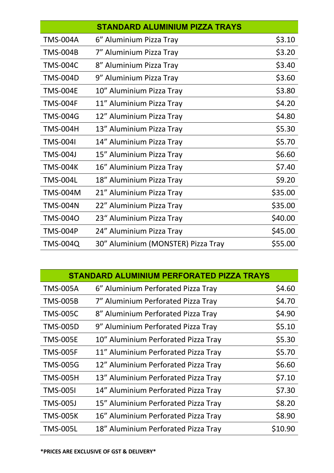| <b>STANDARD ALUMINIUM PIZZA TRAYS</b> |                                    |         |
|---------------------------------------|------------------------------------|---------|
| <b>TMS-004A</b>                       | 6" Aluminium Pizza Tray            | \$3.10  |
| <b>TMS-004B</b>                       | 7" Aluminium Pizza Tray            | \$3.20  |
| <b>TMS-004C</b>                       | 8" Aluminium Pizza Tray            | \$3.40  |
| <b>TMS-004D</b>                       | 9" Aluminium Pizza Tray            | \$3.60  |
| <b>TMS-004E</b>                       | 10" Aluminium Pizza Tray           | \$3.80  |
| <b>TMS-004F</b>                       | 11" Aluminium Pizza Tray           | \$4.20  |
| <b>TMS-004G</b>                       | 12" Aluminium Pizza Tray           | \$4.80  |
| <b>TMS-004H</b>                       | 13" Aluminium Pizza Tray           | \$5.30  |
| <b>TMS-004I</b>                       | 14" Aluminium Pizza Tray           | \$5.70  |
| <b>TMS-004J</b>                       | 15" Aluminium Pizza Tray           | \$6.60  |
| <b>TMS-004K</b>                       | 16" Aluminium Pizza Tray           | \$7.40  |
| <b>TMS-004L</b>                       | 18" Aluminium Pizza Tray           | \$9.20  |
| <b>TMS-004M</b>                       | 21" Aluminium Pizza Tray           | \$35.00 |
| <b>TMS-004N</b>                       | 22" Aluminium Pizza Tray           | \$35.00 |
| <b>TMS-004O</b>                       | 23" Aluminium Pizza Tray           | \$40.00 |
| <b>TMS-004P</b>                       | 24" Aluminium Pizza Tray           | \$45.00 |
| TMS-004Q                              | 30" Aluminium (MONSTER) Pizza Tray | \$55.00 |

| STANDARD ALUMINIUM PERFORATED PIZZA TRAYS |                                     |         |
|-------------------------------------------|-------------------------------------|---------|
| <b>TMS-005A</b>                           | 6" Aluminium Perforated Pizza Tray  | \$4.60  |
| <b>TMS-005B</b>                           | 7" Aluminium Perforated Pizza Tray  | \$4.70  |
| <b>TMS-005C</b>                           | 8" Aluminium Perforated Pizza Tray  | \$4.90  |
| <b>TMS-005D</b>                           | 9" Aluminium Perforated Pizza Tray  | \$5.10  |
| <b>TMS-005E</b>                           | 10" Aluminium Perforated Pizza Tray | \$5.30  |
| <b>TMS-005F</b>                           | 11" Aluminium Perforated Pizza Tray | \$5.70  |
| <b>TMS-005G</b>                           | 12" Aluminium Perforated Pizza Tray | \$6.60  |
| <b>TMS-005H</b>                           | 13" Aluminium Perforated Pizza Tray | \$7.10  |
| <b>TMS-0051</b>                           | 14" Aluminium Perforated Pizza Tray | \$7.30  |
| <b>TMS-005J</b>                           | 15" Aluminium Perforated Pizza Tray | \$8.20  |
| <b>TMS-005K</b>                           | 16" Aluminium Perforated Pizza Tray | \$8.90  |
| <b>TMS-005L</b>                           | 18" Aluminium Perforated Pizza Tray | \$10.90 |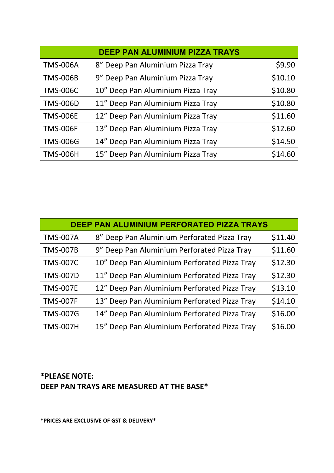| <b>DEEP PAN ALUMINIUM PIZZA TRAYS</b> |                                   |         |  |
|---------------------------------------|-----------------------------------|---------|--|
| <b>TMS-006A</b>                       | 8" Deep Pan Aluminium Pizza Tray  | \$9.90  |  |
| <b>TMS-006B</b>                       | 9" Deep Pan Aluminium Pizza Tray  | \$10.10 |  |
| <b>TMS-006C</b>                       | 10" Deep Pan Aluminium Pizza Tray | \$10.80 |  |
| <b>TMS-006D</b>                       | 11" Deep Pan Aluminium Pizza Tray | \$10.80 |  |
| <b>TMS-006E</b>                       | 12" Deep Pan Aluminium Pizza Tray | \$11.60 |  |
| <b>TMS-006F</b>                       | 13" Deep Pan Aluminium Pizza Tray | \$12.60 |  |
| <b>TMS-006G</b>                       | 14" Deep Pan Aluminium Pizza Tray | \$14.50 |  |
| <b>TMS-006H</b>                       | 15" Deep Pan Aluminium Pizza Tray | \$14.60 |  |

| <b>DEEP PAN ALUMINIUM PERFORATED PIZZA TRAYS</b> |                                              |         |  |
|--------------------------------------------------|----------------------------------------------|---------|--|
| <b>TMS-007A</b>                                  | 8" Deep Pan Aluminium Perforated Pizza Tray  | \$11.40 |  |
| <b>TMS-007B</b>                                  | 9" Deep Pan Aluminium Perforated Pizza Tray  | \$11.60 |  |
| <b>TMS-007C</b>                                  | 10" Deep Pan Aluminium Perforated Pizza Tray | \$12.30 |  |
| <b>TMS-007D</b>                                  | 11" Deep Pan Aluminium Perforated Pizza Tray | \$12.30 |  |
| <b>TMS-007E</b>                                  | 12" Deep Pan Aluminium Perforated Pizza Tray | \$13.10 |  |
| <b>TMS-007F</b>                                  | 13" Deep Pan Aluminium Perforated Pizza Tray | \$14.10 |  |
| <b>TMS-007G</b>                                  | 14" Deep Pan Aluminium Perforated Pizza Tray | \$16.00 |  |
| <b>TMS-007H</b>                                  | 15" Deep Pan Aluminium Perforated Pizza Tray | \$16.00 |  |

### **\*PLEASE NOTE: DEEP PAN TRAYS ARE MEASURED AT THE BASE\***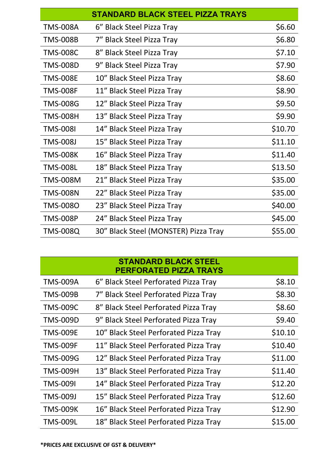|                 | <b>STANDARD BLACK STEEL PIZZA TRAYS</b> |         |
|-----------------|-----------------------------------------|---------|
| <b>TMS-008A</b> | 6" Black Steel Pizza Tray               | \$6.60  |
| <b>TMS-008B</b> | 7" Black Steel Pizza Tray               | \$6.80  |
| <b>TMS-008C</b> | 8" Black Steel Pizza Tray               | \$7.10  |
| <b>TMS-008D</b> | 9" Black Steel Pizza Tray               | \$7.90  |
| <b>TMS-008E</b> | 10" Black Steel Pizza Tray              | \$8.60  |
| <b>TMS-008F</b> | 11" Black Steel Pizza Tray              | \$8.90  |
| <b>TMS-008G</b> | 12" Black Steel Pizza Tray              | \$9.50  |
| <b>TMS-008H</b> | 13" Black Steel Pizza Tray              | \$9.90  |
| <b>TMS-008I</b> | 14" Black Steel Pizza Tray              | \$10.70 |
| <b>TMS-008J</b> | 15" Black Steel Pizza Tray              | \$11.10 |
| <b>TMS-008K</b> | 16" Black Steel Pizza Tray              | \$11.40 |
| <b>TMS-008L</b> | 18" Black Steel Pizza Tray              | \$13.50 |
| <b>TMS-008M</b> | 21" Black Steel Pizza Tray              | \$35.00 |
| <b>TMS-008N</b> | 22" Black Steel Pizza Tray              | \$35.00 |
| <b>TMS-008O</b> | 23" Black Steel Pizza Tray              | \$40.00 |
| <b>TMS-008P</b> | 24" Black Steel Pizza Tray              | \$45.00 |
| <b>TMS-008Q</b> | 30" Black Steel (MONSTER) Pizza Tray    | \$55.00 |

|                 | <b>STANDARD BLACK STEEL</b><br>PERFORATED PIZZA TRAYS |         |
|-----------------|-------------------------------------------------------|---------|
| <b>TMS-009A</b> | 6" Black Steel Perforated Pizza Tray                  | \$8.10  |
| <b>TMS-009B</b> | 7" Black Steel Perforated Pizza Tray                  | \$8.30  |
| <b>TMS-009C</b> | 8" Black Steel Perforated Pizza Tray                  | \$8.60  |
| <b>TMS-009D</b> | 9" Black Steel Perforated Pizza Tray                  | \$9.40  |
| <b>TMS-009E</b> | 10" Black Steel Perforated Pizza Tray                 | \$10.10 |
| <b>TMS-009F</b> | 11" Black Steel Perforated Pizza Tray                 | \$10.40 |
| <b>TMS-009G</b> | 12" Black Steel Perforated Pizza Tray                 | \$11.00 |
| <b>TMS-009H</b> | 13" Black Steel Perforated Pizza Tray                 | \$11.40 |
| <b>TMS-009I</b> | 14" Black Steel Perforated Pizza Tray                 | \$12.20 |
| <b>TMS-009J</b> | 15" Black Steel Perforated Pizza Tray                 | \$12.60 |
| <b>TMS-009K</b> | 16" Black Steel Perforated Pizza Tray                 | \$12.90 |
| TMS-009L        | 18" Black Steel Perforated Pizza Tray                 | \$15.00 |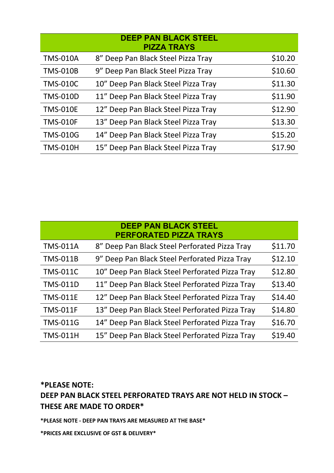|                 | <b>DEEP PAN BLACK STEEL</b><br><b>PIZZA TRAYS</b> |         |
|-----------------|---------------------------------------------------|---------|
| <b>TMS-010A</b> | 8" Deep Pan Black Steel Pizza Tray                | \$10.20 |
| <b>TMS-010B</b> | 9" Deep Pan Black Steel Pizza Tray                | \$10.60 |
| <b>TMS-010C</b> | 10" Deep Pan Black Steel Pizza Tray               | \$11.30 |
| <b>TMS-010D</b> | 11" Deep Pan Black Steel Pizza Tray               | \$11.90 |
| <b>TMS-010E</b> | 12" Deep Pan Black Steel Pizza Tray               | \$12.90 |
| <b>TMS-010F</b> | 13" Deep Pan Black Steel Pizza Tray               | \$13.30 |
| <b>TMS-010G</b> | 14" Deep Pan Black Steel Pizza Tray               | \$15.20 |
| <b>TMS-010H</b> | 15" Deep Pan Black Steel Pizza Tray               | \$17.90 |

|                 | <b>DEEP PAN BLACK STEEL</b><br><b>PERFORATED PIZZA TRAYS</b> |         |
|-----------------|--------------------------------------------------------------|---------|
| <b>TMS-011A</b> | 8" Deep Pan Black Steel Perforated Pizza Tray                | \$11.70 |
| <b>TMS-011B</b> | 9" Deep Pan Black Steel Perforated Pizza Tray                | \$12.10 |
| <b>TMS-011C</b> | 10" Deep Pan Black Steel Perforated Pizza Tray               | \$12.80 |
| <b>TMS-011D</b> | 11" Deep Pan Black Steel Perforated Pizza Tray               | \$13.40 |
| <b>TMS-011E</b> | 12" Deep Pan Black Steel Perforated Pizza Tray               | \$14.40 |
| <b>TMS-011F</b> | 13" Deep Pan Black Steel Perforated Pizza Tray               | \$14.80 |
| <b>TMS-011G</b> | 14" Deep Pan Black Steel Perforated Pizza Tray               | \$16.70 |
| <b>TMS-011H</b> | 15" Deep Pan Black Steel Perforated Pizza Tray               | \$19.40 |

**\*PLEASE NOTE: DEEP PAN BLACK STEEL PERFORATED TRAYS ARE NOT HELD IN STOCK – THESE ARE MADE TO ORDER\***

**\*PLEASE NOTE - DEEP PAN TRAYS ARE MEASURED AT THE BASE\***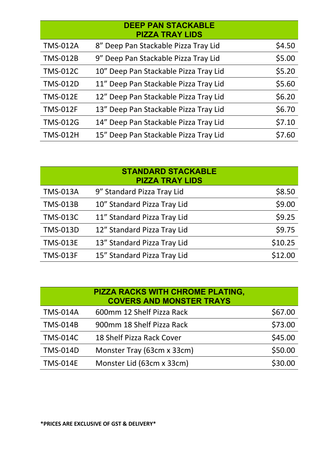|                 | <b>DEEP PAN STACKABLE</b><br><b>PIZZA TRAY LIDS</b> |        |
|-----------------|-----------------------------------------------------|--------|
| <b>TMS-012A</b> | 8" Deep Pan Stackable Pizza Tray Lid                | \$4.50 |
| <b>TMS-012B</b> | 9" Deep Pan Stackable Pizza Tray Lid                | \$5.00 |
| <b>TMS-012C</b> | 10" Deep Pan Stackable Pizza Tray Lid               | \$5.20 |
| <b>TMS-012D</b> | 11" Deep Pan Stackable Pizza Tray Lid               | \$5.60 |
| <b>TMS-012E</b> | 12" Deep Pan Stackable Pizza Tray Lid               | \$6.20 |
| <b>TMS-012F</b> | 13" Deep Pan Stackable Pizza Tray Lid               | \$6.70 |
| <b>TMS-012G</b> | 14" Deep Pan Stackable Pizza Tray Lid               | \$7.10 |
| <b>TMS-012H</b> | 15" Deep Pan Stackable Pizza Tray Lid               | \$7.60 |

| <b>STANDARD STACKABLE</b><br><b>PIZZA TRAY LIDS</b> |                             |         |
|-----------------------------------------------------|-----------------------------|---------|
| <b>TMS-013A</b>                                     | 9" Standard Pizza Tray Lid  | \$8.50  |
| <b>TMS-013B</b>                                     | 10" Standard Pizza Tray Lid | \$9.00  |
| <b>TMS-013C</b>                                     | 11" Standard Pizza Tray Lid | \$9.25  |
| <b>TMS-013D</b>                                     | 12" Standard Pizza Tray Lid | \$9.75  |
| <b>TMS-013E</b>                                     | 13" Standard Pizza Tray Lid | \$10.25 |
| <b>TMS-013F</b>                                     | 15" Standard Pizza Tray Lid | \$12.00 |

| PIZZA RACKS WITH CHROME PLATING,<br><b>COVERS AND MONSTER TRAYS</b> |                            |         |
|---------------------------------------------------------------------|----------------------------|---------|
| <b>TMS-014A</b>                                                     | 600mm 12 Shelf Pizza Rack  | \$67.00 |
| <b>TMS-014B</b>                                                     | 900mm 18 Shelf Pizza Rack  | \$73.00 |
| <b>TMS-014C</b>                                                     | 18 Shelf Pizza Rack Cover  | \$45.00 |
| <b>TMS-014D</b>                                                     | Monster Tray (63cm x 33cm) | \$50.00 |
| <b>TMS-014E</b>                                                     | Monster Lid (63cm x 33cm)  | \$30.00 |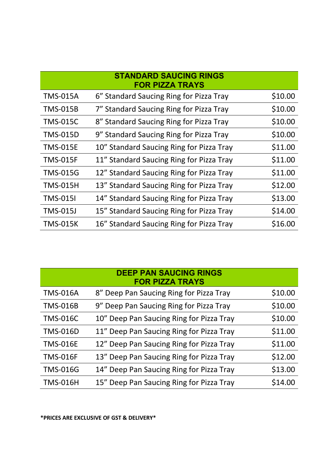|                 | <b>STANDARD SAUCING RINGS</b><br><b>FOR PIZZA TRAYS</b> |         |
|-----------------|---------------------------------------------------------|---------|
| <b>TMS-015A</b> | 6" Standard Saucing Ring for Pizza Tray                 | \$10.00 |
| <b>TMS-015B</b> | 7" Standard Saucing Ring for Pizza Tray                 | \$10.00 |
| <b>TMS-015C</b> | 8" Standard Saucing Ring for Pizza Tray                 | \$10.00 |
| <b>TMS-015D</b> | 9" Standard Saucing Ring for Pizza Tray                 | \$10.00 |
| <b>TMS-015E</b> | 10" Standard Saucing Ring for Pizza Tray                | \$11.00 |
| <b>TMS-015F</b> | 11" Standard Saucing Ring for Pizza Tray                | \$11.00 |
| <b>TMS-015G</b> | 12" Standard Saucing Ring for Pizza Tray                | \$11.00 |
| <b>TMS-015H</b> | 13" Standard Saucing Ring for Pizza Tray                | \$12.00 |
| <b>TMS-015I</b> | 14" Standard Saucing Ring for Pizza Tray                | \$13.00 |
| <b>TMS-015J</b> | 15" Standard Saucing Ring for Pizza Tray                | \$14.00 |
| <b>TMS-015K</b> | 16" Standard Saucing Ring for Pizza Tray                | \$16.00 |

| <b>DEEP PAN SAUCING RINGS</b><br><b>FOR PIZZA TRAYS</b> |                                          |         |
|---------------------------------------------------------|------------------------------------------|---------|
| <b>TMS-016A</b>                                         | 8" Deep Pan Saucing Ring for Pizza Tray  | \$10.00 |
| <b>TMS-016B</b>                                         | 9" Deep Pan Saucing Ring for Pizza Tray  | \$10.00 |
| <b>TMS-016C</b>                                         | 10" Deep Pan Saucing Ring for Pizza Tray | \$10.00 |
| <b>TMS-016D</b>                                         | 11" Deep Pan Saucing Ring for Pizza Tray | \$11.00 |
| <b>TMS-016E</b>                                         | 12" Deep Pan Saucing Ring for Pizza Tray | \$11.00 |
| <b>TMS-016F</b>                                         | 13" Deep Pan Saucing Ring for Pizza Tray | \$12.00 |
| <b>TMS-016G</b>                                         | 14" Deep Pan Saucing Ring for Pizza Tray | \$13.00 |
| <b>TMS-016H</b>                                         | 15" Deep Pan Saucing Ring for Pizza Tray | \$14.00 |